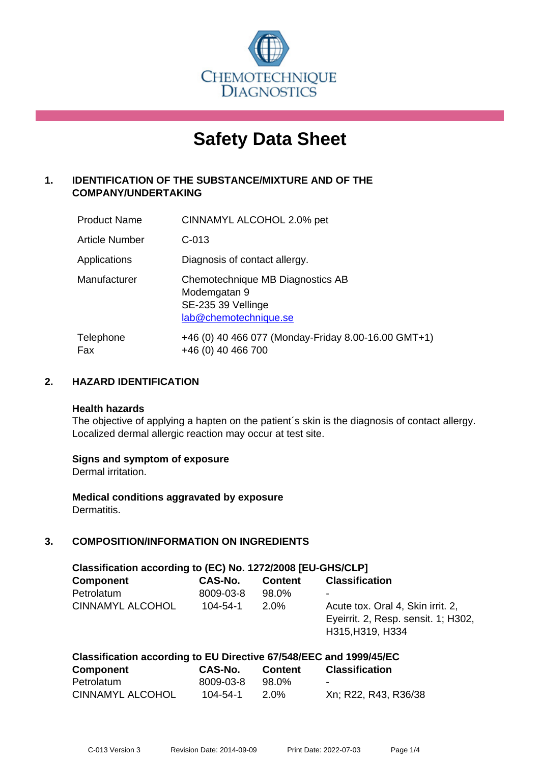

# **Safety Data Sheet**

# **1. IDENTIFICATION OF THE SUBSTANCE/MIXTURE AND OF THE COMPANY/UNDERTAKING**

| <b>Product Name</b> | CINNAMYL ALCOHOL 2.0% pet                                                                       |
|---------------------|-------------------------------------------------------------------------------------------------|
| Article Number      | $C-013$                                                                                         |
| Applications        | Diagnosis of contact allergy.                                                                   |
| Manufacturer        | Chemotechnique MB Diagnostics AB<br>Modemgatan 9<br>SE-235 39 Vellinge<br>lab@chemotechnique.se |
| Telephone<br>Fax    | +46 (0) 40 466 077 (Monday-Friday 8.00-16.00 GMT+1)<br>+46 (0) 40 466 700                       |

## **2. HAZARD IDENTIFICATION**

#### **Health hazards**

The objective of applying a hapten on the patient's skin is the diagnosis of contact allergy. Localized dermal allergic reaction may occur at test site.

#### **Signs and symptom of exposure**

Dermal irritation.

**Medical conditions aggravated by exposure** Dermatitis.

# **3. COMPOSITION/INFORMATION ON INGREDIENTS**

| Classification according to (EC) No. 1272/2008 [EU-GHS/CLP] |                |                |                                                                                              |  |
|-------------------------------------------------------------|----------------|----------------|----------------------------------------------------------------------------------------------|--|
| <b>Component</b>                                            | <b>CAS-No.</b> | <b>Content</b> | <b>Classification</b>                                                                        |  |
| Petrolatum                                                  | 8009-03-8      | 98.0%          | ۰                                                                                            |  |
| <b>CINNAMYL ALCOHOL</b>                                     | $104 - 54 - 1$ | $2.0\%$        | Acute tox. Oral 4, Skin irrit. 2,<br>Eyeirrit. 2, Resp. sensit. 1; H302,<br>H315, H319, H334 |  |

| Classification according to EU Directive 67/548/EEC and 1999/45/EC |           |         |                       |  |  |
|--------------------------------------------------------------------|-----------|---------|-----------------------|--|--|
| Component                                                          | CAS-No.   | Content | <b>Classification</b> |  |  |
| Petrolatum                                                         | 8009-03-8 | 98.0%   | $\sim$                |  |  |
| <b>CINNAMYL ALCOHOL</b>                                            | 104-54-1  | 2.0%    | Xn; R22, R43, R36/38  |  |  |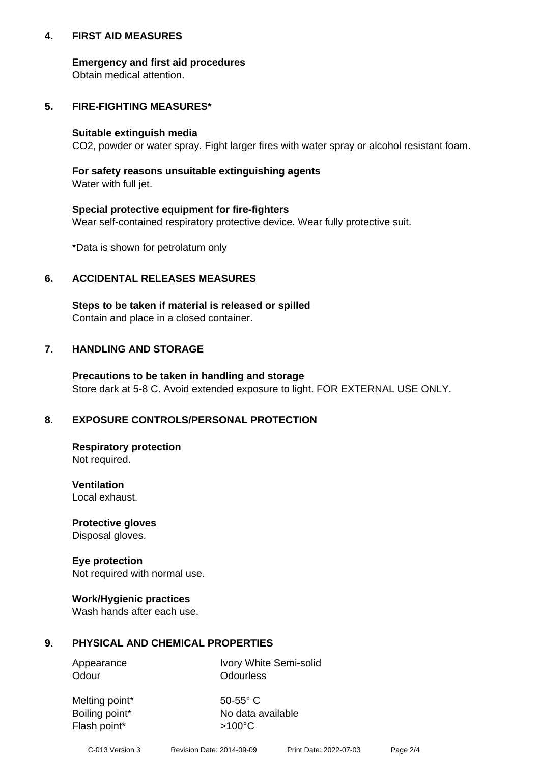## **4. FIRST AID MEASURES**

## **Emergency and first aid procedures**

Obtain medical attention.

# **5. FIRE-FIGHTING MEASURES\***

#### **Suitable extinguish media**

CO2, powder or water spray. Fight larger fires with water spray or alcohol resistant foam.

# **For safety reasons unsuitable extinguishing agents**

Water with full jet.

## **Special protective equipment for fire-fighters**

Wear self-contained respiratory protective device. Wear fully protective suit.

\*Data is shown for petrolatum only

## **6. ACCIDENTAL RELEASES MEASURES**

**Steps to be taken if material is released or spilled** Contain and place in a closed container.

# **7. HANDLING AND STORAGE**

**Precautions to be taken in handling and storage** Store dark at 5-8 C. Avoid extended exposure to light. FOR EXTERNAL USE ONLY.

# **8. EXPOSURE CONTROLS/PERSONAL PROTECTION**

**Respiratory protection** Not required.

**Ventilation** Local exhaust.

**Protective gloves** Disposal gloves.

#### **Eye protection** Not required with normal use.

## **Work/Hygienic practices**

Wash hands after each use.

## **9. PHYSICAL AND CHEMICAL PROPERTIES**

Odour **Odourless** 

Appearance Ivory White Semi-solid

Melting point\* 50-55° C Flash point\*  $>100^{\circ}$ C

Boiling point\* No data available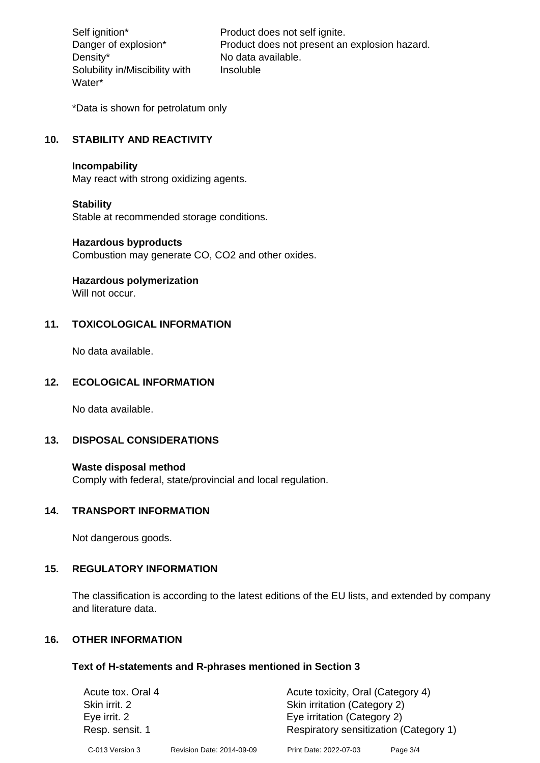Density\* No data available. Solubility in/Miscibility with Water\*

Self ignition\* Product does not self ignite. Danger of explosion\* Product does not present an explosion hazard. Insoluble

\*Data is shown for petrolatum only

# **10. STABILITY AND REACTIVITY**

#### **Incompability**

May react with strong oxidizing agents.

#### **Stability**

Stable at recommended storage conditions.

#### **Hazardous byproducts**

Combustion may generate CO, CO2 and other oxides.

**Hazardous polymerization**

Will not occur.

## **11. TOXICOLOGICAL INFORMATION**

No data available.

## **12. ECOLOGICAL INFORMATION**

No data available.

## **13. DISPOSAL CONSIDERATIONS**

#### **Waste disposal method**

Comply with federal, state/provincial and local regulation.

#### **14. TRANSPORT INFORMATION**

Not dangerous goods.

## **15. REGULATORY INFORMATION**

The classification is according to the latest editions of the EU lists, and extended by company and literature data.

#### **16. OTHER INFORMATION**

#### **Text of H-statements and R-phrases mentioned in Section 3**

| Acute tox. Oral 4 |                           | Acute toxicity, Oral (Category 4)      |          |
|-------------------|---------------------------|----------------------------------------|----------|
| Skin irrit. 2     |                           | Skin irritation (Category 2)           |          |
| Eye irrit. 2      |                           | Eye irritation (Category 2)            |          |
| Resp. sensit. 1   |                           | Respiratory sensitization (Category 1) |          |
| C-013 Version 3   | Revision Date: 2014-09-09 | Print Date: 2022-07-03                 | Page 3/4 |